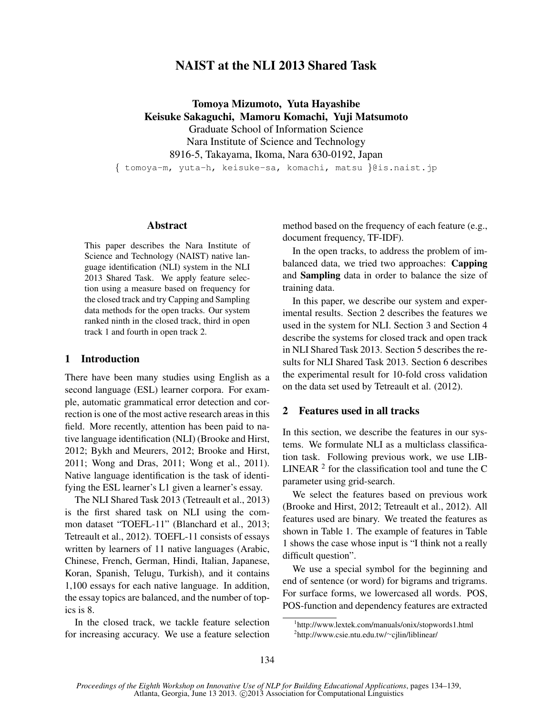# NAIST at the NLI 2013 Shared Task

Tomoya Mizumoto, Yuta Hayashibe Keisuke Sakaguchi, Mamoru Komachi, Yuji Matsumoto Graduate School of Information Science Nara Institute of Science and Technology 8916-5, Takayama, Ikoma, Nara 630-0192, Japan

*{* tomoya-m, yuta-h, keisuke-sa, komachi, matsu *}*@is.naist.jp

#### Abstract

This paper describes the Nara Institute of Science and Technology (NAIST) native language identification (NLI) system in the NLI 2013 Shared Task. We apply feature selection using a measure based on frequency for the closed track and try Capping and Sampling data methods for the open tracks. Our system ranked ninth in the closed track, third in open track 1 and fourth in open track 2.

### 1 Introduction

There have been many studies using English as a second language (ESL) learner corpora. For example, automatic grammatical error detection and correction is one of the most active research areas in this field. More recently, attention has been paid to native language identification (NLI) (Brooke and Hirst, 2012; Bykh and Meurers, 2012; Brooke and Hirst, 2011; Wong and Dras, 2011; Wong et al., 2011). Native language identification is the task of identifying the ESL learner's L1 given a learner's essay.

The NLI Shared Task 2013 (Tetreault et al., 2013) is the first shared task on NLI using the common dataset "TOEFL-11" (Blanchard et al., 2013; Tetreault et al., 2012). TOEFL-11 consists of essays written by learners of 11 native languages (Arabic, Chinese, French, German, Hindi, Italian, Japanese, Koran, Spanish, Telugu, Turkish), and it contains 1,100 essays for each native language. In addition, the essay topics are balanced, and the number of topics is 8.

In the closed track, we tackle feature selection for increasing accuracy. We use a feature selection method based on the frequency of each feature (e.g., document frequency, TF-IDF).

In the open tracks, to address the problem of imbalanced data, we tried two approaches: Capping and Sampling data in order to balance the size of training data.

In this paper, we describe our system and experimental results. Section 2 describes the features we used in the system for NLI. Section 3 and Section 4 describe the systems for closed track and open track in NLI Shared Task 2013. Section 5 describes the results for NLI Shared Task 2013. Section 6 describes the experimental result for 10-fold cross validation on the data set used by Tetreault et al. (2012).

#### 2 Features used in all tracks

In this section, we describe the features in our systems. We formulate NLI as a multiclass classification task. Following previous work, we use LIB-LINEAR  $2$  for the classification tool and tune the C parameter using grid-search.

We select the features based on previous work (Brooke and Hirst, 2012; Tetreault et al., 2012). All features used are binary. We treated the features as shown in Table 1. The example of features in Table 1 shows the case whose input is "I think not a really difficult question".

We use a special symbol for the beginning and end of sentence (or word) for bigrams and trigrams. For surface forms, we lowercased all words. POS, POS-function and dependency features are extracted

<sup>1</sup> http://www.lextek.com/manuals/onix/stopwords1.html 2 http://www.csie.ntu.edu.tw/*∼*cjlin/liblinear/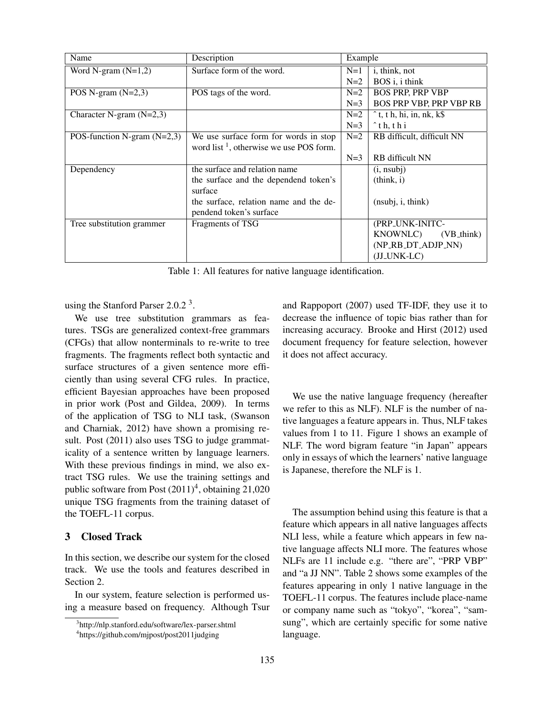| Name                          | Description                                         | Example |                                          |
|-------------------------------|-----------------------------------------------------|---------|------------------------------------------|
| Word N-gram $(N=1,2)$         | Surface form of the word.                           | $N=1$   | i, think, not                            |
|                               |                                                     | $N=2$   | BOS i, i think                           |
| POS N-gram $(N=2,3)$          | POS tags of the word.                               | $N=2$   | <b>BOS PRP, PRP VBP</b>                  |
|                               |                                                     | $N=3$   | <b>BOS PRP VBP, PRP VBP RB</b>           |
| Character N-gram $(N=2,3)$    |                                                     | $N=2$   | $\hat{t}$ , t h, hi, in, nk, k $\hat{S}$ |
|                               |                                                     | $N=3$   | $\hat{ }$ th, thi                        |
| POS-function N-gram $(N=2,3)$ | We use surface form for words in stop               | $N=2$   | RB difficult, difficult NN               |
|                               | word list <sup>1</sup> , otherwise we use POS form. |         |                                          |
|                               |                                                     | $N=3$   | <b>RB</b> difficult NN                   |
| Dependency                    | the surface and relation name                       |         | (i, nsubj)                               |
|                               | the surface and the dependend token's               |         | (think, i)                               |
|                               | surface                                             |         |                                          |
|                               | the surface, relation name and the de-              |         | (nsubj, i, think)                        |
|                               | pendend token's surface                             |         |                                          |
| Tree substitution grammer     | Fragments of TSG                                    |         | (PRP_UNK-INITC-                          |
|                               |                                                     |         | KNOWNLC)<br>(VB_think)                   |
|                               |                                                     |         | (NP_RB_DT_ADJP_NN)                       |
|                               |                                                     |         | (JJ_UNK-LC)                              |

Table 1: All features for native language identification.

using the Stanford Parser 2.0.2 $^3$ .

We use tree substitution grammars as features. TSGs are generalized context-free grammars (CFGs) that allow nonterminals to re-write to tree fragments. The fragments reflect both syntactic and surface structures of a given sentence more efficiently than using several CFG rules. In practice, efficient Bayesian approaches have been proposed in prior work (Post and Gildea, 2009). In terms of the application of TSG to NLI task, (Swanson and Charniak, 2012) have shown a promising result. Post (2011) also uses TSG to judge grammaticality of a sentence written by language learners. With these previous findings in mind, we also extract TSG rules. We use the training settings and public software from Post  $(2011)^4$ , obtaining 21,020 unique TSG fragments from the training dataset of the TOEFL-11 corpus.

### 3 Closed Track

In this section, we describe our system for the closed track. We use the tools and features described in Section 2.

In our system, feature selection is performed using a measure based on frequency. Although Tsur and Rappoport (2007) used TF-IDF, they use it to decrease the influence of topic bias rather than for increasing accuracy. Brooke and Hirst (2012) used document frequency for feature selection, however it does not affect accuracy.

We use the native language frequency (hereafter we refer to this as NLF). NLF is the number of native languages a feature appears in. Thus, NLF takes values from 1 to 11. Figure 1 shows an example of NLF. The word bigram feature "in Japan" appears only in essays of which the learners' native language is Japanese, therefore the NLF is 1.

The assumption behind using this feature is that a feature which appears in all native languages affects NLI less, while a feature which appears in few native language affects NLI more. The features whose NLFs are 11 include e.g. "there are", "PRP VBP" and "a JJ NN". Table 2 shows some examples of the features appearing in only 1 native language in the TOEFL-11 corpus. The features include place-name or company name such as "tokyo", "korea", "samsung", which are certainly specific for some native language.

<sup>3</sup> http://nlp.stanford.edu/software/lex-parser.shtml

<sup>4</sup> https://github.com/mjpost/post2011judging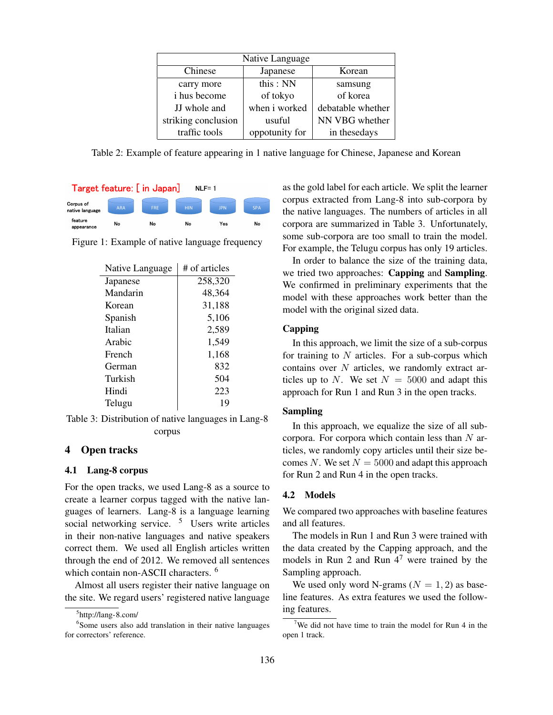| Native Language     |                |                   |  |
|---------------------|----------------|-------------------|--|
| Chinese             | Japanese       | Korean            |  |
| carry more          | this: NN       | samsung           |  |
| i hus become        | of tokyo       | of korea          |  |
| JJ whole and        | when i worked  | debatable whether |  |
| striking conclusion | usuful         | NN VBG whether    |  |
| traffic tools       | oppotunity for | in thesedays      |  |

Table 2: Example of feature appearing in 1 native language for Chinese, Japanese and Korean



Figure 1: Example of native language frequency

| Native Language | # of articles |
|-----------------|---------------|
| Japanese        | 258,320       |
| Mandarin        | 48,364        |
| Korean          | 31,188        |
| Spanish         | 5,106         |
| Italian         | 2,589         |
| Arabic          | 1,549         |
| French          | 1,168         |
| German          | 832           |
| Turkish         | 504           |
| Hindi           | 223           |
| Telugu          | 19            |

Table 3: Distribution of native languages in Lang-8 corpus

# 4 Open tracks

#### 4.1 Lang-8 corpus

For the open tracks, we used Lang-8 as a source to create a learner corpus tagged with the native languages of learners. Lang-8 is a language learning social networking service. <sup>5</sup> Users write articles in their non-native languages and native speakers correct them. We used all English articles written through the end of 2012. We removed all sentences which contain non-ASCII characters.<sup>6</sup>

Almost all users register their native language on the site. We regard users' registered native language

as the gold label for each article. We split the learner corpus extracted from Lang-8 into sub-corpora by the native languages. The numbers of articles in all corpora are summarized in Table 3. Unfortunately, some sub-corpora are too small to train the model. For example, the Telugu corpus has only 19 articles.

In order to balance the size of the training data, we tried two approaches: Capping and Sampling. We confirmed in preliminary experiments that the model with these approaches work better than the model with the original sized data.

#### Capping

In this approach, we limit the size of a sub-corpus for training to *N* articles. For a sub-corpus which contains over *N* articles, we randomly extract articles up to *N*. We set  $N = 5000$  and adapt this approach for Run 1 and Run 3 in the open tracks.

### Sampling

In this approach, we equalize the size of all subcorpora. For corpora which contain less than *N* articles, we randomly copy articles until their size becomes *N*. We set  $N = 5000$  and adapt this approach for Run 2 and Run 4 in the open tracks.

#### 4.2 Models

We compared two approaches with baseline features and all features.

The models in Run 1 and Run 3 were trained with the data created by the Capping approach, and the models in Run 2 and Run  $4<sup>7</sup>$  were trained by the Sampling approach.

We used only word N-grams  $(N = 1, 2)$  as baseline features. As extra features we used the following features.

<sup>5</sup> http://lang-8.com/

<sup>6</sup> Some users also add translation in their native languages for correctors' reference.

<sup>&</sup>lt;sup>7</sup>We did not have time to train the model for Run 4 in the open 1 track.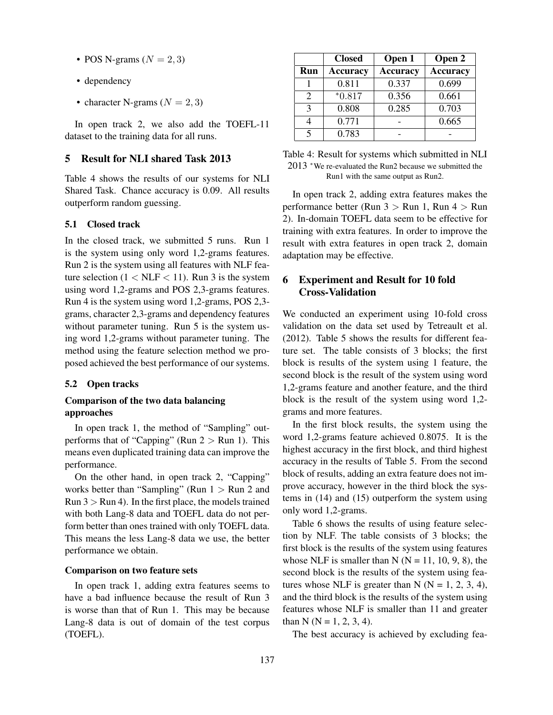- POS N-grams  $(N = 2, 3)$
- dependency
- character N-grams  $(N = 2, 3)$

In open track 2, we also add the TOEFL-11 dataset to the training data for all runs.

### 5 Result for NLI shared Task 2013

Table 4 shows the results of our systems for NLI Shared Task. Chance accuracy is 0.09. All results outperform random guessing.

### 5.1 Closed track

In the closed track, we submitted 5 runs. Run 1 is the system using only word 1,2-grams features. Run 2 is the system using all features with NLF feature selection  $(1 < NLF < 11)$ . Run 3 is the system using word 1,2-grams and POS 2,3-grams features. Run 4 is the system using word 1,2-grams, POS 2,3 grams, character 2,3-grams and dependency features without parameter tuning. Run 5 is the system using word 1,2-grams without parameter tuning. The method using the feature selection method we proposed achieved the best performance of our systems.

#### 5.2 Open tracks

### Comparison of the two data balancing approaches

In open track 1, the method of "Sampling" outperforms that of "Capping" (Run  $2 >$  Run 1). This means even duplicated training data can improve the performance.

On the other hand, in open track 2, "Capping" works better than "Sampling" (Run 1 *>* Run 2 and Run 3 *>* Run 4). In the first place, the models trained with both Lang-8 data and TOEFL data do not perform better than ones trained with only TOEFL data. This means the less Lang-8 data we use, the better performance we obtain.

#### Comparison on two feature sets

In open track 1, adding extra features seems to have a bad influence because the result of Run 3 is worse than that of Run 1. This may be because Lang-8 data is out of domain of the test corpus (TOEFL).

|                             | <b>Closed</b>   | Open 1          | Open 2          |
|-----------------------------|-----------------|-----------------|-----------------|
| Run                         | <b>Accuracy</b> | <b>Accuracy</b> | <b>Accuracy</b> |
|                             | 0.811           | 0.337           | 0.699           |
| $\mathcal{D}_{\mathcal{L}}$ | $*0.817$        | 0.356           | 0.661           |
| $\mathcal{R}$               | 0.808           | 0.285           | 0.703           |
|                             | 0.771           |                 | 0.665           |
| $\varsigma$                 | 0.783           |                 |                 |

Table 4: Result for systems which submitted in NLI 2013 *<sup>∗</sup>*We re-evaluated the Run2 because we submitted the Run1 with the same output as Run2.

In open track 2, adding extra features makes the performance better (Run 3 *>* Run 1, Run 4 *>* Run 2). In-domain TOEFL data seem to be effective for training with extra features. In order to improve the result with extra features in open track 2, domain adaptation may be effective.

# 6 Experiment and Result for 10 fold Cross-Validation

We conducted an experiment using 10-fold cross validation on the data set used by Tetreault et al. (2012). Table 5 shows the results for different feature set. The table consists of 3 blocks; the first block is results of the system using 1 feature, the second block is the result of the system using word 1,2-grams feature and another feature, and the third block is the result of the system using word 1,2 grams and more features.

In the first block results, the system using the word 1,2-grams feature achieved 0.8075. It is the highest accuracy in the first block, and third highest accuracy in the results of Table 5. From the second block of results, adding an extra feature does not improve accuracy, however in the third block the systems in (14) and (15) outperform the system using only word 1,2-grams.

Table 6 shows the results of using feature selection by NLF. The table consists of 3 blocks; the first block is the results of the system using features whose NLF is smaller than N ( $N = 11, 10, 9, 8$ ), the second block is the results of the system using features whose NLF is greater than N ( $N = 1, 2, 3, 4$ ), and the third block is the results of the system using features whose NLF is smaller than 11 and greater than N ( $N = 1, 2, 3, 4$ ).

The best accuracy is achieved by excluding fea-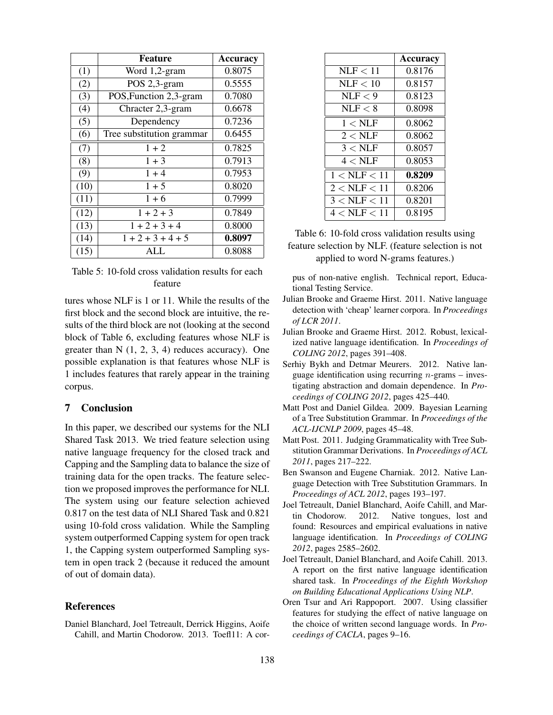|      | <b>Feature</b>            | <b>Accuracy</b> |
|------|---------------------------|-----------------|
| (1)  | Word 1,2-gram             | 0.8075          |
| (2)  | POS 2,3-gram              | 0.5555          |
| (3)  | POS, Function 2,3-gram    | 0.7080          |
| (4)  | Chracter 2,3-gram         | 0.6678          |
| (5)  | Dependency                | 0.7236          |
| (6)  | Tree substitution grammar | 0.6455          |
| (7)  | $1 + 2$                   | 0.7825          |
| (8)  | $1 + 3$                   | 0.7913          |
| (9)  | $1 + 4$                   | 0.7953          |
| (10) | $1 + 5$                   | 0.8020          |
| (11) | $1 + 6$                   | 0.7999          |
| (12) | $1 + 2 + 3$               | 0.7849          |
| (13) | $1 + 2 + 3 + 4$           | 0.8000          |
| (14) | $1 + 2 + 3 + 4 + 5$       | 0.8097          |
| (15) | ALI.                      | 0.8088          |

### Table 5: 10-fold cross validation results for each feature

tures whose NLF is 1 or 11. While the results of the first block and the second block are intuitive, the results of the third block are not (looking at the second block of Table 6, excluding features whose NLF is greater than  $N$   $(1, 2, 3, 4)$  reduces accuracy). One possible explanation is that features whose NLF is 1 includes features that rarely appear in the training corpus.

## 7 Conclusion

In this paper, we described our systems for the NLI Shared Task 2013. We tried feature selection using native language frequency for the closed track and Capping and the Sampling data to balance the size of training data for the open tracks. The feature selection we proposed improves the performance for NLI. The system using our feature selection achieved 0.817 on the test data of NLI Shared Task and 0.821 using 10-fold cross validation. While the Sampling system outperformed Capping system for open track 1, the Capping system outperformed Sampling system in open track 2 (because it reduced the amount of out of domain data).

### References

Daniel Blanchard, Joel Tetreault, Derrick Higgins, Aoife Cahill, and Martin Chodorow. 2013. Toefl11: A cor-

|                       | Accuracy |
|-----------------------|----------|
| NLF < 11              | 0.8176   |
| NLF < 10              | 0.8157   |
| NLE < 9               | 0.8123   |
| NLF < 8               | 0.8098   |
| $1 < \text{NLF}$      | 0.8062   |
| $2 <$ NLF             | 0.8062   |
| $3 < \text{NLF}$      | 0.8057   |
| $4 < \mathrm{NLF}$    | 0.8053   |
| $1 <$ NLF $< 11$      | 0.8209   |
| $2 < \text{NLF} < 11$ | 0.8206   |
| $3 < \text{NLF} < 11$ | 0.8201   |
| $4 < \text{NLF} < 11$ | 0.8195   |

Table 6: 10-fold cross validation results using feature selection by NLF. (feature selection is not applied to word N-grams features.)

pus of non-native english. Technical report, Educational Testing Service.

- Julian Brooke and Graeme Hirst. 2011. Native language detection with 'cheap' learner corpora. In *Proceedings of LCR 2011*.
- Julian Brooke and Graeme Hirst. 2012. Robust, lexicalized native language identification. In *Proceedings of COLING 2012*, pages 391–408.
- Serhiy Bykh and Detmar Meurers. 2012. Native language identification using recurring *n*-grams – investigating abstraction and domain dependence. In *Proceedings of COLING 2012*, pages 425–440.
- Matt Post and Daniel Gildea. 2009. Bayesian Learning of a Tree Substitution Grammar. In *Proceedings of the ACL-IJCNLP 2009*, pages 45–48.
- Matt Post. 2011. Judging Grammaticality with Tree Substitution Grammar Derivations. In *Proceedings of ACL 2011*, pages 217–222.
- Ben Swanson and Eugene Charniak. 2012. Native Language Detection with Tree Substitution Grammars. In *Proceedings of ACL 2012*, pages 193–197.
- Joel Tetreault, Daniel Blanchard, Aoife Cahill, and Martin Chodorow. 2012. Native tongues, lost and found: Resources and empirical evaluations in native language identification. In *Proceedings of COLING 2012*, pages 2585–2602.
- Joel Tetreault, Daniel Blanchard, and Aoife Cahill. 2013. A report on the first native language identification shared task. In *Proceedings of the Eighth Workshop on Building Educational Applications Using NLP*.
- Oren Tsur and Ari Rappoport. 2007. Using classifier features for studying the effect of native language on the choice of written second language words. In *Proceedings of CACLA*, pages 9–16.